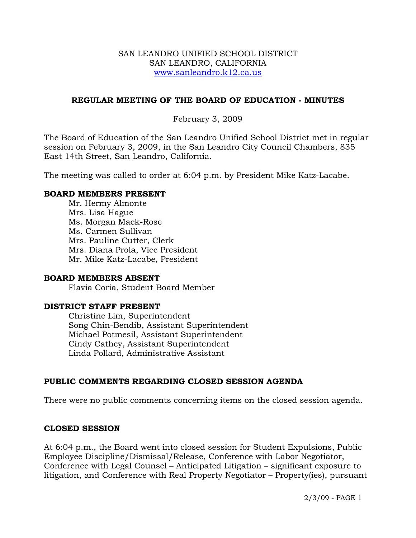#### SAN LEANDRO UNIFIED SCHOOL DISTRICT SAN LEANDRO, CALIFORNIA www.sanleandro.k12.ca.us

## **REGULAR MEETING OF THE BOARD OF EDUCATION - MINUTES**

## February 3, 2009

The Board of Education of the San Leandro Unified School District met in regular session on February 3, 2009, in the San Leandro City Council Chambers, 835 East 14th Street, San Leandro, California.

The meeting was called to order at 6:04 p.m. by President Mike Katz-Lacabe.

#### **BOARD MEMBERS PRESENT**

Mr. Hermy Almonte Mrs. Lisa Hague Ms. Morgan Mack-Rose Ms. Carmen Sullivan Mrs. Pauline Cutter, Clerk Mrs. Diana Prola, Vice President Mr. Mike Katz-Lacabe, President

#### **BOARD MEMBERS ABSENT**

Flavia Coria, Student Board Member

# **DISTRICT STAFF PRESENT**

Christine Lim, Superintendent Song Chin-Bendib, Assistant Superintendent Michael Potmesil, Assistant Superintendent Cindy Cathey, Assistant Superintendent Linda Pollard, Administrative Assistant

# **PUBLIC COMMENTS REGARDING CLOSED SESSION AGENDA**

There were no public comments concerning items on the closed session agenda.

#### **CLOSED SESSION**

At 6:04 p.m., the Board went into closed session for Student Expulsions, Public Employee Discipline/Dismissal/Release, Conference with Labor Negotiator, Conference with Legal Counsel – Anticipated Litigation – significant exposure to litigation, and Conference with Real Property Negotiator – Property(ies), pursuant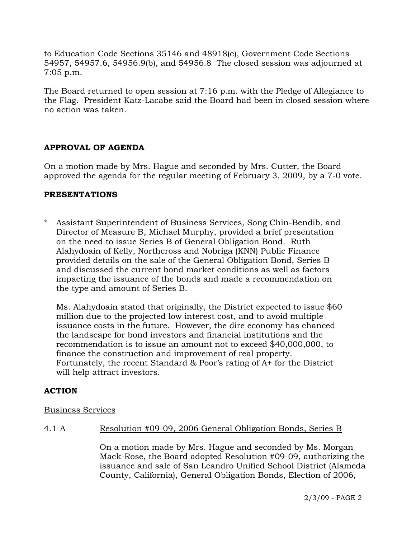to Education Code Sections 35146 and 48918(c), Government Code Sections 54957, 54957.6, 54956.9(b), and 54956.8 The closed session was adjourned at 7:05 p.m.

The Board returned to open session at 7:16 p.m. with the Pledge of Allegiance to the Flag. President Katz-Lacabe said the Board had been in closed session where no action was taken.

# **APPROVAL OF AGENDA**

On a motion made by Mrs. Hague and seconded by Mrs. Cutter, the Board approved the agenda for the regular meeting of February 3, 2009, by a 7-0 vote.

### **PRESENTATIONS**

\* Assistant Superintendent of Business Services, Song Chin-Bendib, and Director of Measure B, Michael Murphy, provided a brief presentation on the need to issue Series B of General Obligation Bond. Ruth Alahydoain of Kelly, Northcross and Nobriga (KNN) Public Finance provided details on the sale of the General Obligation Bond, Series B and discussed the current bond market conditions as well as factors impacting the issuance of the bonds and made a recommendation on the type and amount of Series B.

 Ms. Alahydoain stated that originally, the District expected to issue \$60 million due to the projected low interest cost, and to avoid multiple issuance costs in the future. However, the dire economy has chanced the landscape for bond investors and financial institutions and the recommendation is to issue an amount not to exceed \$40,000,000, to finance the construction and improvement of real property. Fortunately, the recent Standard & Poor's rating of A+ for the District will help attract investors.

# **ACTION**

#### Business Services

#### 4.1-A Resolution #09-09, 2006 General Obligation Bonds, Series B

On a motion made by Mrs. Hague and seconded by Ms. Morgan Mack-Rose, the Board adopted Resolution #09-09, authorizing the issuance and sale of San Leandro Unified School District (Alameda County, California), General Obligation Bonds, Election of 2006,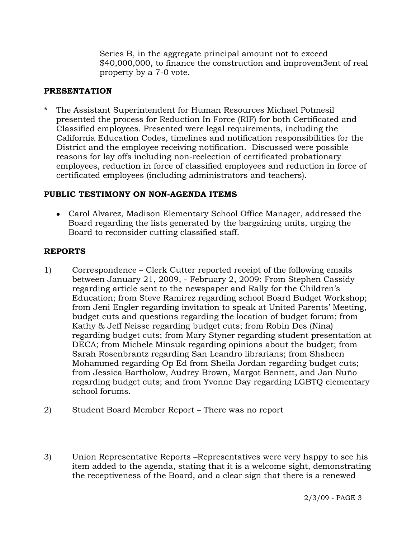Series B, in the aggregate principal amount not to exceed \$40,000,000, to finance the construction and improvem3ent of real property by a 7-0 vote.

## **PRESENTATION**

\* The Assistant Superintendent for Human Resources Michael Potmesil presented the process for Reduction In Force (RIF) for both Certificated and Classified employees. Presented were legal requirements, including the California Education Codes, timelines and notification responsibilities for the District and the employee receiving notification. Discussed were possible reasons for lay offs including non-reelection of certificated probationary employees, reduction in force of classified employees and reduction in force of certificated employees (including administrators and teachers).

### **PUBLIC TESTIMONY ON NON-AGENDA ITEMS**

• Carol Alvarez, Madison Elementary School Office Manager, addressed the Board regarding the lists generated by the bargaining units, urging the Board to reconsider cutting classified staff.

## **REPORTS**

- 1) Correspondence Clerk Cutter reported receipt of the following emails between January 21, 2009, - February 2, 2009: From Stephen Cassidy regarding article sent to the newspaper and Rally for the Children's Education; from Steve Ramirez regarding school Board Budget Workshop; from Jeni Engler regarding invitation to speak at United Parents' Meeting, budget cuts and questions regarding the location of budget forum; from Kathy & Jeff Neisse regarding budget cuts; from Robin Des (Nina) regarding budget cuts; from Mary Styner regarding student presentation at DECA; from Michele Minsuk regarding opinions about the budget; from Sarah Rosenbrantz regarding San Leandro librarians; from Shaheen Mohammed regarding Op Ed from Sheila Jordan regarding budget cuts; from Jessica Bartholow, Audrey Brown, Margot Bennett, and Jan Nuño regarding budget cuts; and from Yvonne Day regarding LGBTQ elementary school forums.
- 2) Student Board Member Report There was no report
- 3) Union Representative Reports –Representatives were very happy to see his item added to the agenda, stating that it is a welcome sight, demonstrating the receptiveness of the Board, and a clear sign that there is a renewed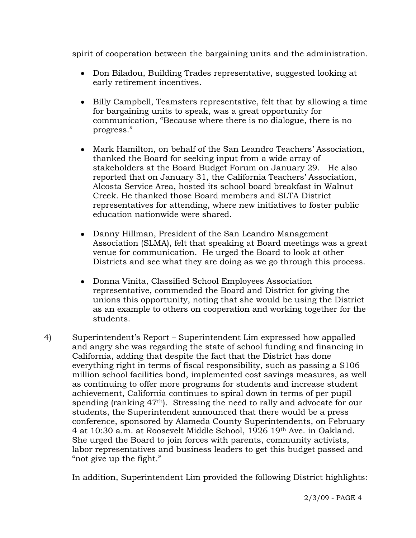spirit of cooperation between the bargaining units and the administration.

- Don Biladou, Building Trades representative, suggested looking at early retirement incentives.
- Billy Campbell, Teamsters representative, felt that by allowing a time for bargaining units to speak, was a great opportunity for communication, "Because where there is no dialogue, there is no progress."
- Mark Hamilton, on behalf of the San Leandro Teachers' Association, thanked the Board for seeking input from a wide array of stakeholders at the Board Budget Forum on January 29. He also reported that on January 31, the California Teachers' Association, Alcosta Service Area, hosted its school board breakfast in Walnut Creek. He thanked those Board members and SLTA District representatives for attending, where new initiatives to foster public education nationwide were shared.
- Danny Hillman, President of the San Leandro Management Association (SLMA), felt that speaking at Board meetings was a great venue for communication. He urged the Board to look at other Districts and see what they are doing as we go through this process.
- Donna Vinita, Classified School Employees Association representative, commended the Board and District for giving the unions this opportunity, noting that she would be using the District as an example to others on cooperation and working together for the students.
- 4) Superintendent's Report Superintendent Lim expressed how appalled and angry she was regarding the state of school funding and financing in California, adding that despite the fact that the District has done everything right in terms of fiscal responsibility, such as passing a \$106 million school facilities bond, implemented cost savings measures, as well as continuing to offer more programs for students and increase student achievement, California continues to spiral down in terms of per pupil spending (ranking 47th). Stressing the need to rally and advocate for our students, the Superintendent announced that there would be a press conference, sponsored by Alameda County Superintendents, on February 4 at 10:30 a.m. at Roosevelt Middle School, 1926 19th Ave. in Oakland. She urged the Board to join forces with parents, community activists, labor representatives and business leaders to get this budget passed and "not give up the fight."

In addition, Superintendent Lim provided the following District highlights: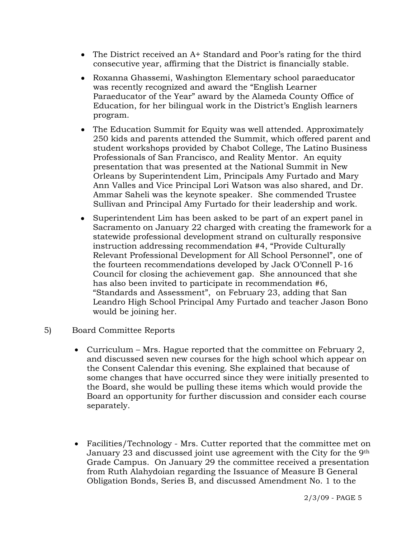- The District received an A+ Standard and Poor's rating for the third consecutive year, affirming that the District is financially stable.
- Roxanna Ghassemi, Washington Elementary school paraeducator was recently recognized and award the "English Learner Paraeducator of the Year" award by the Alameda County Office of Education, for her bilingual work in the District's English learners program.
- The Education Summit for Equity was well attended. Approximately 250 kids and parents attended the Summit, which offered parent and student workshops provided by Chabot College, The Latino Business Professionals of San Francisco, and Reality Mentor. An equity presentation that was presented at the National Summit in New Orleans by Superintendent Lim, Principals Amy Furtado and Mary Ann Valles and Vice Principal Lori Watson was also shared, and Dr. Ammar Saheli was the keynote speaker. She commended Trustee Sullivan and Principal Amy Furtado for their leadership and work.
- Superintendent Lim has been asked to be part of an expert panel in Sacramento on January 22 charged with creating the framework for a statewide professional development strand on culturally responsive instruction addressing recommendation #4, "Provide Culturally Relevant Professional Development for All School Personnel", one of the fourteen recommendations developed by Jack O'Connell P-16 Council for closing the achievement gap. She announced that she has also been invited to participate in recommendation #6, "Standards and Assessment", on February 23, adding that San Leandro High School Principal Amy Furtado and teacher Jason Bono would be joining her.
- 5) Board Committee Reports
	- Curriculum Mrs. Hague reported that the committee on February 2, and discussed seven new courses for the high school which appear on the Consent Calendar this evening. She explained that because of some changes that have occurred since they were initially presented to the Board, she would be pulling these items which would provide the Board an opportunity for further discussion and consider each course separately.
	- Facilities/Technology Mrs. Cutter reported that the committee met on January 23 and discussed joint use agreement with the City for the 9th Grade Campus. On January 29 the committee received a presentation from Ruth Alahydoian regarding the Issuance of Measure B General Obligation Bonds, Series B, and discussed Amendment No. 1 to the

2/3/09 - PAGE 5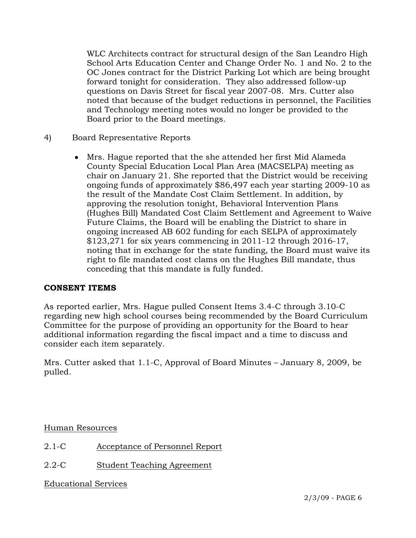WLC Architects contract for structural design of the San Leandro High School Arts Education Center and Change Order No. 1 and No. 2 to the OC Jones contract for the District Parking Lot which are being brought forward tonight for consideration. They also addressed follow-up questions on Davis Street for fiscal year 2007-08. Mrs. Cutter also noted that because of the budget reductions in personnel, the Facilities and Technology meeting notes would no longer be provided to the Board prior to the Board meetings.

- 4) Board Representative Reports
	- Mrs. Hague reported that the she attended her first Mid Alameda County Special Education Local Plan Area (MACSELPA) meeting as chair on January 21. She reported that the District would be receiving ongoing funds of approximately \$86,497 each year starting 2009-10 as the result of the Mandate Cost Claim Settlement. In addition, by approving the resolution tonight, Behavioral Intervention Plans (Hughes Bill) Mandated Cost Claim Settlement and Agreement to Waive Future Claims, the Board will be enabling the District to share in ongoing increased AB 602 funding for each SELPA of approximately  $$123,271$  for six years commencing in 2011-12 through 2016-17, noting that in exchange for the state funding, the Board must waive its right to file mandated cost clams on the Hughes Bill mandate, thus conceding that this mandate is fully funded.

#### **CONSENT ITEMS**

As reported earlier, Mrs. Hague pulled Consent Items 3.4-C through 3.10-C regarding new high school courses being recommended by the Board Curriculum Committee for the purpose of providing an opportunity for the Board to hear additional information regarding the fiscal impact and a time to discuss and consider each item separately.

Mrs. Cutter asked that 1.1-C, Approval of Board Minutes – January 8, 2009, be pulled.

Human Resources

- 2.1-C Acceptance of Personnel Report
- 2.2-C Student Teaching Agreement

Educational Services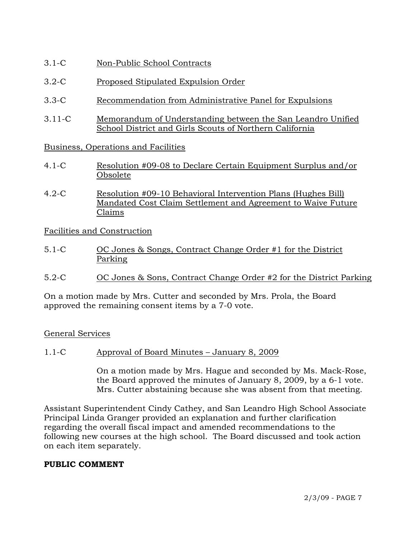- 3.1-C Non-Public School Contracts
- 3.2-C Proposed Stipulated Expulsion Order
- 3.3-C Recommendation from Administrative Panel for Expulsions
- 3.11-C Memorandum of Understanding between the San Leandro Unified School District and Girls Scouts of Northern California

Business, Operations and Facilities

- 4.1-C Resolution #09-08 to Declare Certain Equipment Surplus and/or Obsolete
- 4.2-C Resolution #09-10 Behavioral Intervention Plans (Hughes Bill) Mandated Cost Claim Settlement and Agreement to Waive Future Claims

Facilities and Construction

- 5.1-C OC Jones & Songs, Contract Change Order #1 for the District Parking
- 5.2-C OC Jones & Sons, Contract Change Order #2 for the District Parking

On a motion made by Mrs. Cutter and seconded by Mrs. Prola, the Board approved the remaining consent items by a 7-0 vote.

#### General Services

1.1-C Approval of Board Minutes – January 8, 2009

On a motion made by Mrs. Hague and seconded by Ms. Mack-Rose, the Board approved the minutes of January 8, 2009, by a 6-1 vote. Mrs. Cutter abstaining because she was absent from that meeting.

Assistant Superintendent Cindy Cathey, and San Leandro High School Associate Principal Linda Granger provided an explanation and further clarification regarding the overall fiscal impact and amended recommendations to the following new courses at the high school. The Board discussed and took action on each item separately.

#### **PUBLIC COMMENT**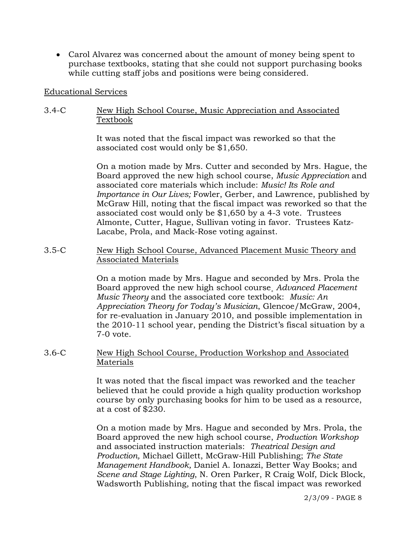• Carol Alvarez was concerned about the amount of money being spent to purchase textbooks, stating that she could not support purchasing books while cutting staff jobs and positions were being considered.

#### Educational Services

# 3.4-C New High School Course, Music Appreciation and Associated Textbook

It was noted that the fiscal impact was reworked so that the associated cost would only be \$1,650.

On a motion made by Mrs. Cutter and seconded by Mrs. Hague, the Board approved the new high school course, *Music Appreciation* and associated core materials which include: *Music! Its Role and Importance in Our Lives;* Fowler, Gerber, and Lawrence, published by McGraw Hill, noting that the fiscal impact was reworked so that the associated cost would only be \$1,650 by a 4-3 vote. Trustees Almonte, Cutter, Hague, Sullivan voting in favor. Trustees Katz-Lacabe, Prola, and Mack-Rose voting against.

### 3.5-C New High School Course, Advanced Placement Music Theory and Associated Materials

On a motion made by Mrs. Hague and seconded by Mrs. Prola the Board approved the new high school course¸ *Advanced Placement Music Theory* and the associated core textbook: *Music: An Appreciation Theory for Today's Musician*, Glencoe/McGraw, 2004, for re-evaluation in January 2010, and possible implementation in the 2010-11 school year, pending the District's fiscal situation by a 7-0 vote.

# 3.6-C New High School Course, Production Workshop and Associated Materials

It was noted that the fiscal impact was reworked and the teacher believed that he could provide a high quality production workshop course by only purchasing books for him to be used as a resource, at a cost of \$230.

On a motion made by Mrs. Hague and seconded by Mrs. Prola, the Board approved the new high school course, *Production Workshop* and associated instruction materials: *Theatrical Design and Production,* Michael Gillett, McGraw-Hill Publishing; *The State Management Handbook,* Daniel A. Ionazzi, Better Way Books; and *Scene and Stage Lighting*, N. Oren Parker, R Craig Wolf, Dick Block, Wadsworth Publishing, noting that the fiscal impact was reworked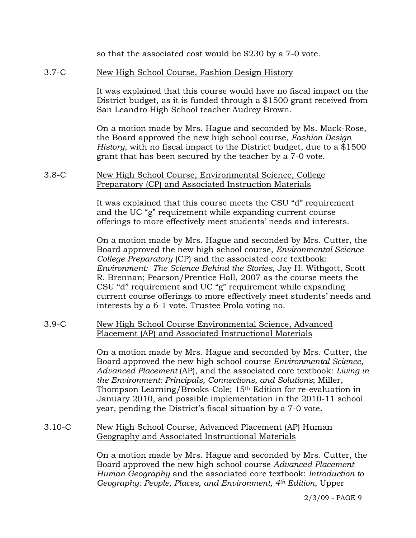so that the associated cost would be \$230 by a 7-0 vote.

## 3.7-C New High School Course, Fashion Design History

It was explained that this course would have no fiscal impact on the District budget, as it is funded through a \$1500 grant received from San Leandro High School teacher Audrey Brown.

On a motion made by Mrs. Hague and seconded by Ms. Mack-Rose, the Board approved the new high school course, *Fashion Design History*, with no fiscal impact to the District budget, due to a \$1500 grant that has been secured by the teacher by a 7-0 vote.

#### 3.8-C New High School Course, Environmental Science, College Preparatory (CP) and Associated Instruction Materials

It was explained that this course meets the CSU "d" requirement and the UC "g" requirement while expanding current course offerings to more effectively meet students' needs and interests.

On a motion made by Mrs. Hague and seconded by Mrs. Cutter, the Board approved the new high school course, *Environmental Science College Preparatory* (CP) and the associated core textbook: *Environment: The Science Behind the Stories*, Jay H. Withgott, Scott R. Brennan; Pearson/Prentice Hall, 2007 as the course meets the CSU "d" requirement and UC "g" requirement while expanding current course offerings to more effectively meet students' needs and interests by a 6-1 vote. Trustee Prola voting no.

#### 3.9-C New High School Course Environmental Science, Advanced Placement (AP) and Associated Instructional Materials

On a motion made by Mrs. Hague and seconded by Mrs. Cutter, the Board approved the new high school course *Environmental Science, Advanced Placement* (AP), and the associated core textbook: *Living in the Environment: Principals, Connections, and Solutions*; Miller, Thompson Learning/Brooks-Cole; 15th Edition for re-evaluation in January 2010, and possible implementation in the 2010-11 school year, pending the District's fiscal situation by a 7-0 vote.

# 3.10-C New High School Course, Advanced Placement (AP) Human Geography and Associated Instructional Materials

On a motion made by Mrs. Hague and seconded by Mrs. Cutter, the Board approved the new high school course *Advanced Placement Human Geography* and the associated core textbook: *Introduction to Geography: People, Places, and Environment, 4th Edition*, Upper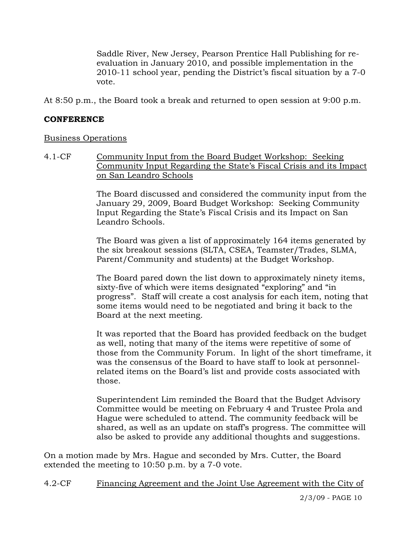Saddle River, New Jersey, Pearson Prentice Hall Publishing for reevaluation in January 2010, and possible implementation in the 2010-11 school year, pending the District's fiscal situation by a 7-0 vote.

At 8:50 p.m., the Board took a break and returned to open session at 9:00 p.m.

### **CONFERENCE**

#### Business Operations

4.1-CF Community Input from the Board Budget Workshop: Seeking Community Input Regarding the State's Fiscal Crisis and its Impact on San Leandro Schools

> The Board discussed and considered the community input from the January 29, 2009, Board Budget Workshop: Seeking Community Input Regarding the State's Fiscal Crisis and its Impact on San Leandro Schools.

> The Board was given a list of approximately 164 items generated by the six breakout sessions (SLTA, CSEA, Teamster/Trades, SLMA, Parent/Community and students) at the Budget Workshop.

> The Board pared down the list down to approximately ninety items, sixty-five of which were items designated "exploring" and "in progress". Staff will create a cost analysis for each item, noting that some items would need to be negotiated and bring it back to the Board at the next meeting.

It was reported that the Board has provided feedback on the budget as well, noting that many of the items were repetitive of some of those from the Community Forum. In light of the short timeframe, it was the consensus of the Board to have staff to look at personnelrelated items on the Board's list and provide costs associated with those.

Superintendent Lim reminded the Board that the Budget Advisory Committee would be meeting on February 4 and Trustee Prola and Hague were scheduled to attend. The community feedback will be shared, as well as an update on staff's progress. The committee will also be asked to provide any additional thoughts and suggestions.

On a motion made by Mrs. Hague and seconded by Mrs. Cutter, the Board extended the meeting to 10:50 p.m. by a 7-0 vote.

4.2-CF Financing Agreement and the Joint Use Agreement with the City of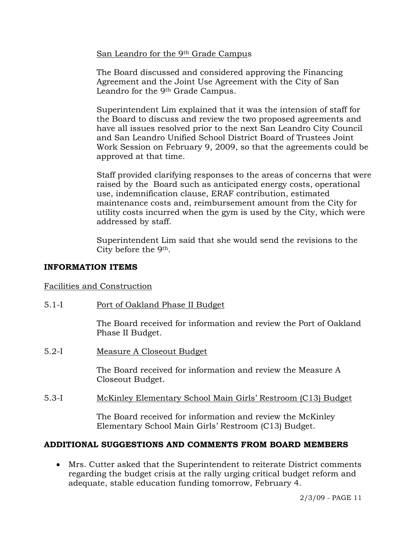San Leandro for the 9<sup>th</sup> Grade Campus

The Board discussed and considered approving the Financing Agreement and the Joint Use Agreement with the City of San Leandro for the 9th Grade Campus.

Superintendent Lim explained that it was the intension of staff for the Board to discuss and review the two proposed agreements and have all issues resolved prior to the next San Leandro City Council and San Leandro Unified School District Board of Trustees Joint Work Session on February 9, 2009, so that the agreements could be approved at that time.

Staff provided clarifying responses to the areas of concerns that were raised by the Board such as anticipated energy costs, operational use, indemnification clause, ERAF contribution, estimated maintenance costs and, reimbursement amount from the City for utility costs incurred when the gym is used by the City, which were addressed by staff.

Superintendent Lim said that she would send the revisions to the City before the 9th.

# **INFORMATION ITEMS**

Facilities and Construction

5.1-I Port of Oakland Phase II Budget

The Board received for information and review the Port of Oakland Phase II Budget.

5.2-I Measure A Closeout Budget

The Board received for information and review the Measure A Closeout Budget.

5.3-I McKinley Elementary School Main Girls' Restroom (C13) Budget

The Board received for information and review the McKinley Elementary School Main Girls' Restroom (C13) Budget.

# **ADDITIONAL SUGGESTIONS AND COMMENTS FROM BOARD MEMBERS**

• Mrs. Cutter asked that the Superintendent to reiterate District comments regarding the budget crisis at the rally urging critical budget reform and adequate, stable education funding tomorrow, February 4.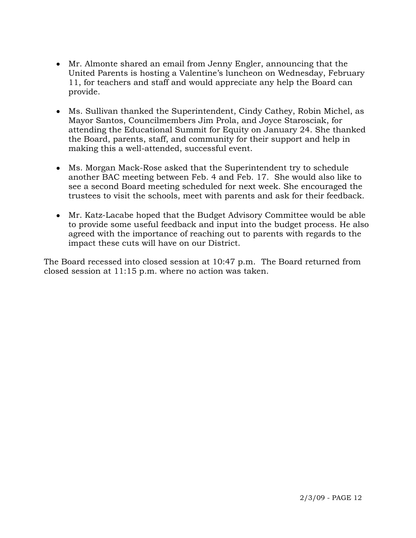- Mr. Almonte shared an email from Jenny Engler, announcing that the United Parents is hosting a Valentine's luncheon on Wednesday, February 11, for teachers and staff and would appreciate any help the Board can provide.
- Ms. Sullivan thanked the Superintendent, Cindy Cathey, Robin Michel, as Mayor Santos, Councilmembers Jim Prola, and Joyce Starosciak, for attending the Educational Summit for Equity on January 24. She thanked the Board, parents, staff, and community for their support and help in making this a well-attended, successful event.
- Ms. Morgan Mack-Rose asked that the Superintendent try to schedule another BAC meeting between Feb. 4 and Feb. 17. She would also like to see a second Board meeting scheduled for next week. She encouraged the trustees to visit the schools, meet with parents and ask for their feedback.
- Mr. Katz-Lacabe hoped that the Budget Advisory Committee would be able to provide some useful feedback and input into the budget process. He also agreed with the importance of reaching out to parents with regards to the impact these cuts will have on our District.

The Board recessed into closed session at 10:47 p.m.The Board returned from closed session at 11:15 p.m. where no action was taken.